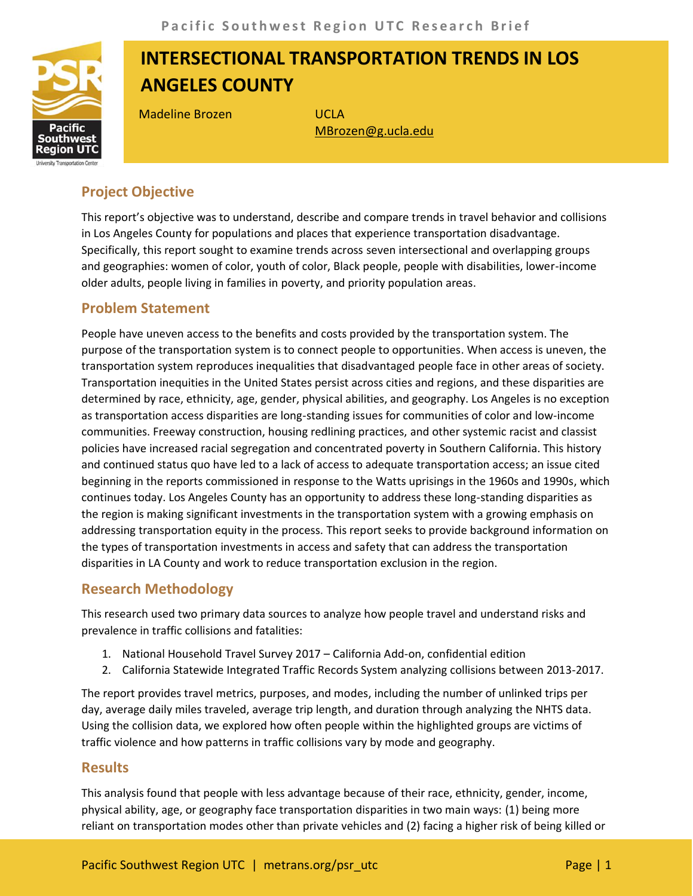

# **INTERSECTIONAL TRANSPORTATION TRENDS IN LOS ANGELES COUNTY**

Madeline Brozen **WADELER** 

[MBrozen@g.ucla.edu](mailto:MBrozen@g.ucla.edu)

## **Project Objective**

This report's objective was to understand, describe and compare trends in travel behavior and collisions in Los Angeles County for populations and places that experience transportation disadvantage. Specifically, this report sought to examine trends across seven intersectional and overlapping groups and geographies: women of color, youth of color, Black people, people with disabilities, lower-income older adults, people living in families in poverty, and priority population areas.

### **Problem Statement**

People have uneven access to the benefits and costs provided by the transportation system. The purpose of the transportation system is to connect people to opportunities. When access is uneven, the transportation system reproduces inequalities that disadvantaged people face in other areas of society. Transportation inequities in the United States persist across cities and regions, and these disparities are determined by race, ethnicity, age, gender, physical abilities, and geography. Los Angeles is no exception as transportation access disparities are long-standing issues for communities of color and low-income communities. Freeway construction, housing redlining practices, and other systemic racist and classist policies have increased racial segregation and concentrated poverty in Southern California. This history and continued status quo have led to a lack of access to adequate transportation access; an issue cited beginning in the reports commissioned in response to the Watts uprisings in the 1960s and 1990s, which continues today. Los Angeles County has an opportunity to address these long-standing disparities as the region is making significant investments in the transportation system with a growing emphasis on addressing transportation equity in the process. This report seeks to provide background information on the types of transportation investments in access and safety that can address the transportation disparities in LA County and work to reduce transportation exclusion in the region.

#### **Research Methodology**

This research used two primary data sources to analyze how people travel and understand risks and prevalence in traffic collisions and fatalities:

- 1. National Household Travel Survey 2017 California Add-on, confidential edition
- 2. California Statewide Integrated Traffic Records System analyzing collisions between 2013-2017.

The report provides travel metrics, purposes, and modes, including the number of unlinked trips per day, average daily miles traveled, average trip length, and duration through analyzing the NHTS data. Using the collision data, we explored how often people within the highlighted groups are victims of traffic violence and how patterns in traffic collisions vary by mode and geography.

#### **Results**

This analysis found that people with less advantage because of their race, ethnicity, gender, income, physical ability, age, or geography face transportation disparities in two main ways: (1) being more reliant on transportation modes other than private vehicles and (2) facing a higher risk of being killed or